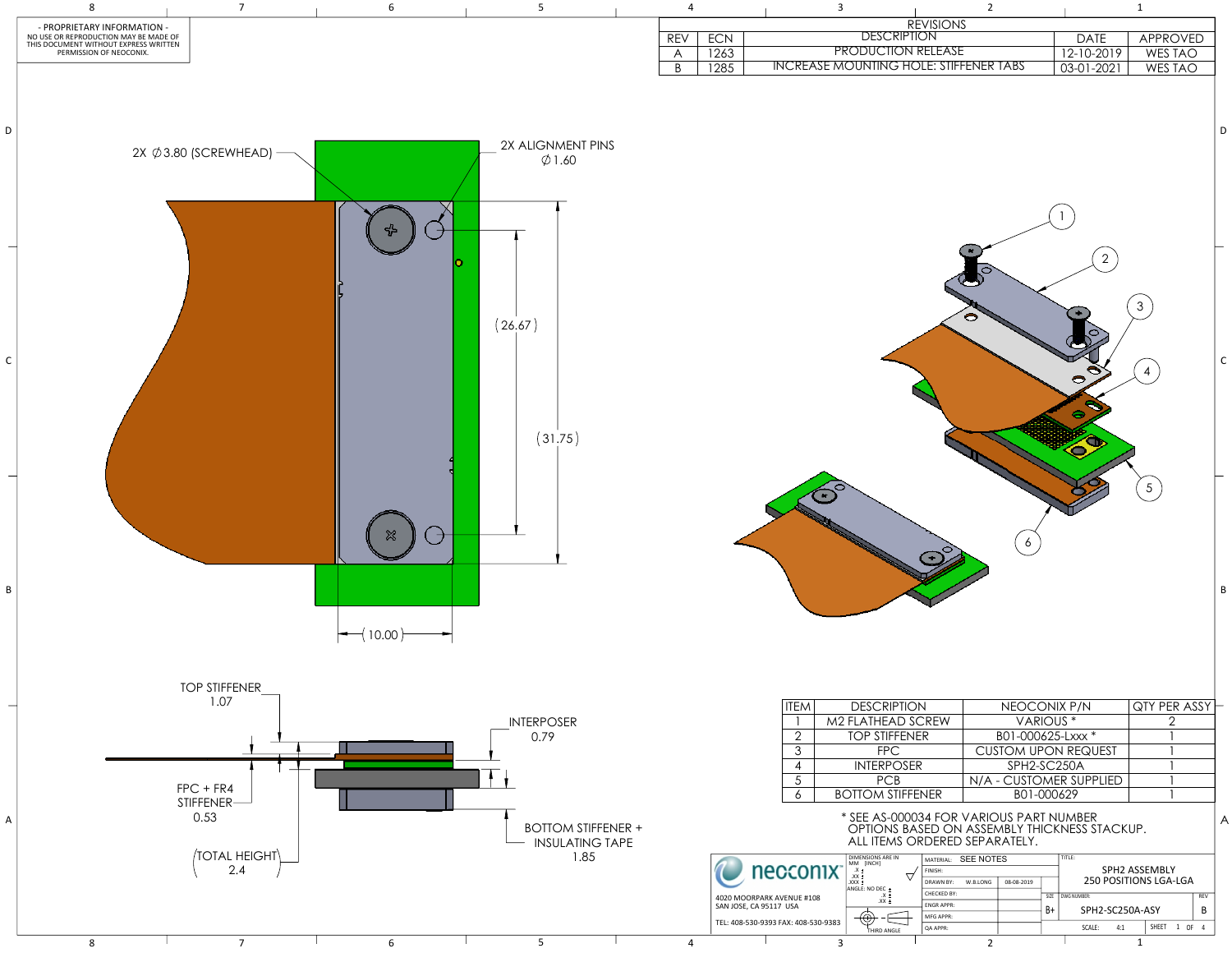| $\overline{4}$          |                       | $\overline{3}$                                |                           | $\overline{2}$   |                  |                                  | $\mathbf 1$                      |             |
|-------------------------|-----------------------|-----------------------------------------------|---------------------------|------------------|------------------|----------------------------------|----------------------------------|-------------|
|                         |                       |                                               | <b>DESCRIPTION</b>        | <b>REVISIONS</b> |                  |                                  |                                  |             |
| <b>REV</b>              | $\mathsf{ECN}\xspace$ |                                               | <b>PRODUCTION RELEASE</b> |                  |                  | DATE                             | APPROVED                         |             |
| $\mathsf{A}$<br>$\sf B$ | 1263<br>1285          | <b>INCREASE MOUNTING HOLE: STIFFENER TABS</b> |                           |                  |                  | $12 - 10 - 2019$<br>$03-01-2021$ | WES TAO<br><b>WES TAO</b>        |             |
|                         |                       |                                               |                           |                  |                  |                                  |                                  | $\mathsf D$ |
|                         |                       |                                               |                           | $\bullet$        |                  | $\overline{2}$<br>◓<br>$\bullet$ | $\mathfrak{S}$<br>$\overline{4}$ | $\mathsf C$ |
|                         |                       |                                               |                           |                  | $\boldsymbol{6}$ |                                  | $\overline{5}$                   | $\sf B$     |

## \* SEE AS-000034 FOR VARIOUS PART NUMBER OPTIONS BASED ON ASSEMBLY THICKNESS STACKUP. ALL ITEMS ORDERED SEPARATELY.

| EΜ | <b>DESCRIPTION</b>      | NEOCONIX P/N               | QTY PER ASSY |
|----|-------------------------|----------------------------|--------------|
|    | M2 FLATHEAD SCREW       | VARIOUS <sup>*</sup>       |              |
| 2  | <b>TOP STIFFENER</b>    | B01-000625-Lxxx *          |              |
| 3  | <b>FPC</b>              | <b>CUSTOM UPON REQUEST</b> |              |
| 4  | <b>INTERPOSER</b>       | SPH2-SC250A                |              |
| 5  | <b>PCB</b>              | N/A - CUSTOMER SUPPLIED    |              |
| 6  | <b>BOTTOM STIFFENER</b> | B01-000629                 |              |
|    |                         |                            |              |



|  | <b>SEE NOTES</b><br>MATERIAL: |            |      | TITLE:                            |            |  |  |  |
|--|-------------------------------|------------|------|-----------------------------------|------------|--|--|--|
|  | FINISH:                       |            |      | SPH2 ASSEMBLY                     |            |  |  |  |
|  | <b>DRAWN BY:</b><br>W.B.LONG  | 08-08-2019 |      | <b>250 POSITIONS LGA-LGA</b>      |            |  |  |  |
|  | CHECKED BY:                   |            | SIZE | DWG NUMBER:                       | <b>REV</b> |  |  |  |
|  | <b>ENGRAPPR:</b>              |            | B+   | SPH2-SC250A-ASY                   | В          |  |  |  |
|  | MFG APPR:                     |            |      |                                   |            |  |  |  |
|  | <b>QA APPR:</b>               |            |      | SHEET<br>0F<br>1<br>SCALE:<br>4:1 | 4          |  |  |  |
|  | $\sim$                        |            |      |                                   |            |  |  |  |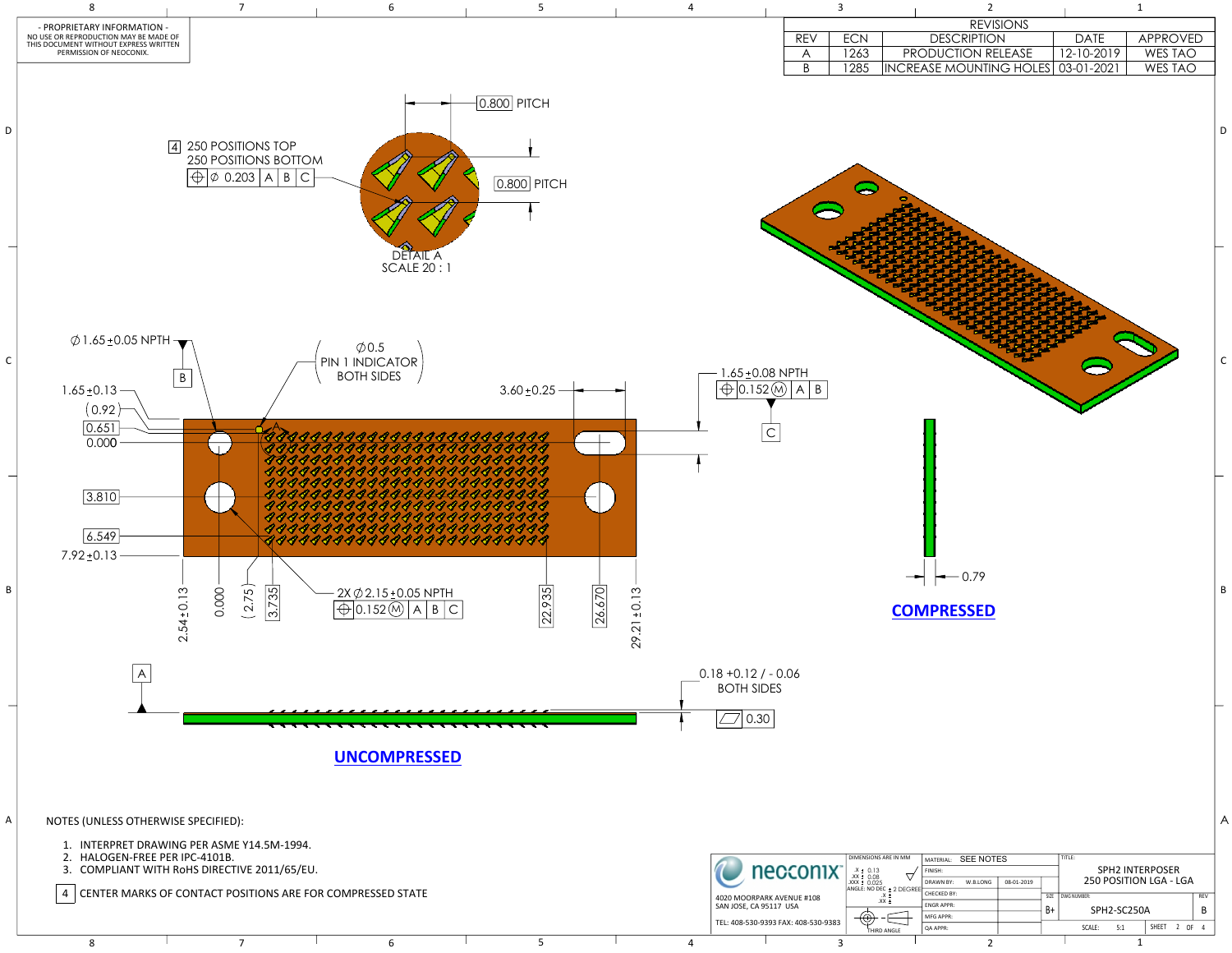| 3                                     |                      |                                                                                        | $\overline{2}$                                                                                                            |                  |            |                                                                | $\mathbf{1}$    |                |                 |   |
|---------------------------------------|----------------------|----------------------------------------------------------------------------------------|---------------------------------------------------------------------------------------------------------------------------|------------------|------------|----------------------------------------------------------------|-----------------|----------------|-----------------|---|
|                                       |                      |                                                                                        |                                                                                                                           | <b>REVISIONS</b> |            |                                                                |                 |                |                 |   |
| <b>REV</b>                            | ECN                  |                                                                                        | <b>DESCRIPTION</b>                                                                                                        |                  |            | <b>DATE</b>                                                    | <b>APPROVED</b> |                |                 |   |
| $\mathsf{A}$                          | 1263                 |                                                                                        | PRODUCTION RELEASE                                                                                                        |                  |            | 12-10-2019                                                     |                 | WES TAO        |                 |   |
| $\overline{B}$                        | 1285                 |                                                                                        | INCREASE MOUNTING HOLES 03-01-2021                                                                                        |                  |            |                                                                |                 | <b>WES TAO</b> |                 |   |
|                                       |                      |                                                                                        |                                                                                                                           |                  |            |                                                                |                 |                |                 | D |
| <u>TH</u><br>$\overline{A}$<br>B      |                      |                                                                                        |                                                                                                                           |                  |            |                                                                |                 |                |                 | C |
| 5                                     |                      |                                                                                        | 0.79<br><b>COMPRESSED</b>                                                                                                 |                  |            |                                                                |                 |                |                 | B |
| onix<br>JE #108<br>А.<br>408-530-9383 | DIMENSIONS ARE IN MM | MEN<br>X ± 0.13<br>XX ± 0.08<br>XX ± 0.025<br>ANGLE: NO DEC ± 2 DEGREE<br>XX ±<br>XX ± | <b>SEE NOTES</b><br>MATERIAL:<br>FINISH:<br>DRAWN BY:<br>W.B.LONG<br><b>CHECKED BY:</b><br><b>ENGR APPR:</b><br>MFG APPR: | 08-01-2019       | SIZE<br>B+ | TITLE:<br>250 POSITION LGA - LGA<br>DWG NUMBER:<br>SPH2-SC250A | SPH2 INTERPOSER |                | <b>REV</b><br>В | A |
|                                       |                      | THIRD ANGLE                                                                            | QA APPR:                                                                                                                  |                  |            | SCALE:<br>5:1                                                  |                 | SHEET 2 OF 4   |                 |   |



8 1 2 1 2 1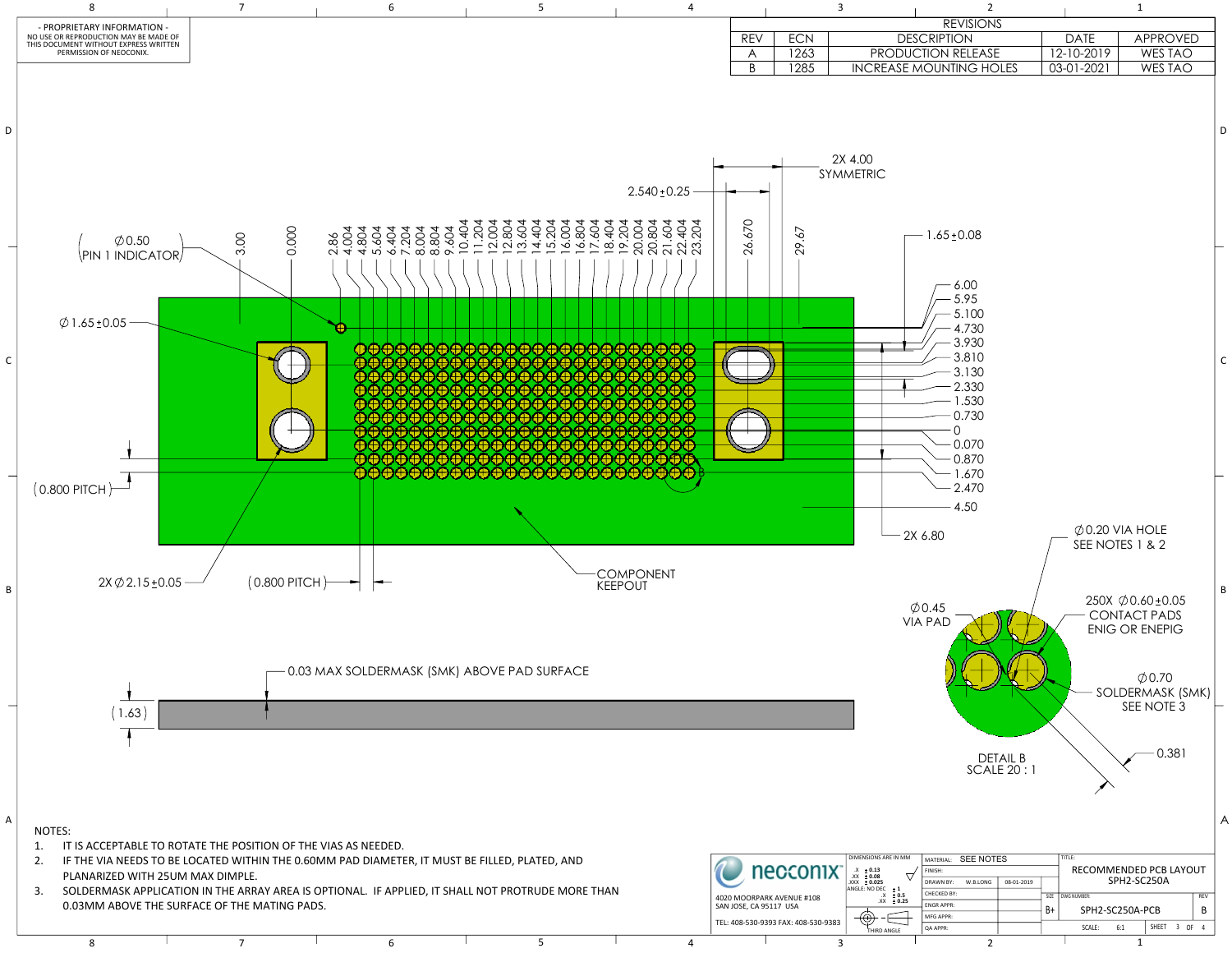

8 1 2 1 2 1